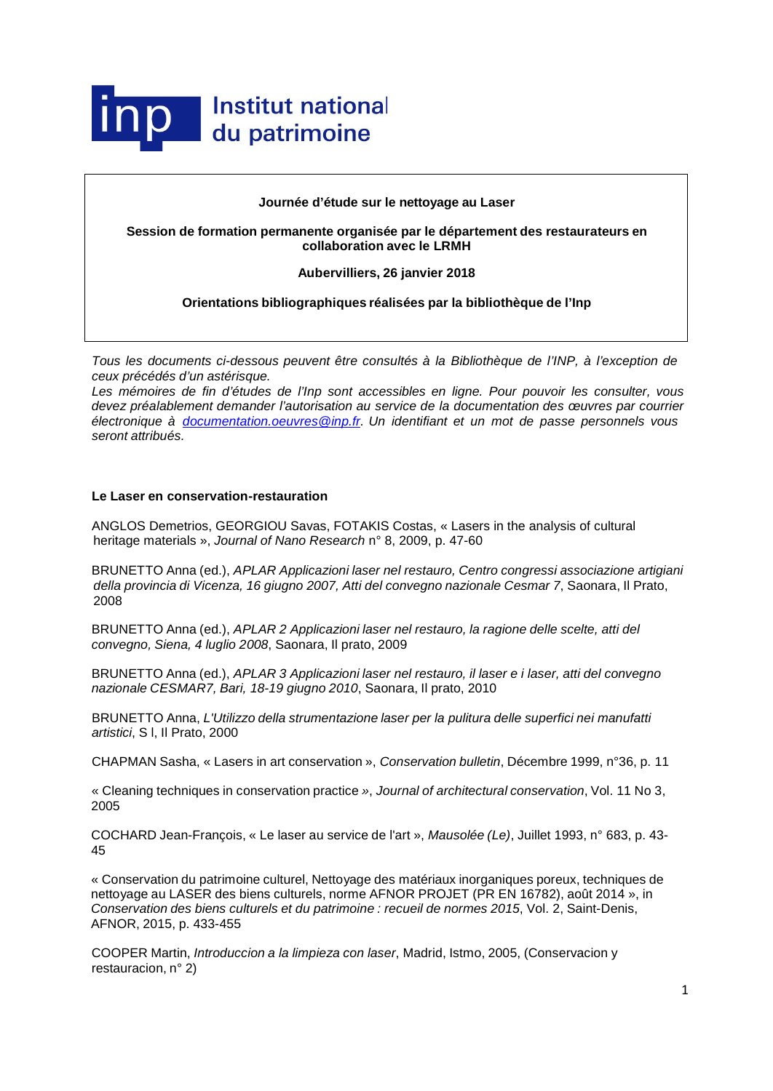

# **Journée d'étude sur le nettoyage au Laser**

**Session de formation permanente organisée par le département des restaurateurs en collaboration avec le LRMH**

#### **Aubervilliers, 26 janvier 2018**

# **Orientations bibliographiques réalisées par la bibliothèque de l'Inp**

*Tous les documents ci-dessous peuvent être consultés à la Bibliothèque de l'INP, à l'exception de ceux précédés d'un astérisque.*

*Les mémoires de fin d'études de l'Inp sont accessibles en ligne. Pour pouvoir les consulter, vous devez préalablement demander l'autorisation au service de la documentation des œuvres par courrier électronique à [documentation.oeuvres@inp.fr.](mailto:documentation.oeuvres@inp.fr) Un identifiant et un mot de passe personnels vous seront attribués.*

# **Le Laser en conservation-restauration**

ANGLOS Demetrios, GEORGIOU Savas, FOTAKIS Costas, « Lasers in the analysis of cultural heritage materials », *Journal of Nano Research* n° 8, 2009, p. 47-60

BRUNETTO Anna (ed.), *APLAR Applicazioni laser nel restauro, Centro congressi associazione artigiani della provincia di Vicenza, 16 giugno 2007, Atti del convegno nazionale Cesmar 7*, Saonara, Il Prato, 2008

BRUNETTO Anna (ed.), *APLAR 2 Applicazioni laser nel restauro, la ragione delle scelte, atti del convegno, Siena, 4 luglio 2008*, Saonara, Il prato, 2009

BRUNETTO Anna (ed.), *APLAR 3 Applicazioni laser nel restauro, il laser e i laser, atti del convegno nazionale CESMAR7, Bari, 18-19 giugno 2010*, Saonara, Il prato, 2010

BRUNETTO Anna, *L'Utilizzo della strumentazione laser per la pulitura delle superfici nei manufatti artistici*, S l, Il Prato, 2000

CHAPMAN Sasha, « Lasers in art conservation », *Conservation bulletin*, Décembre 1999, n°36, p. 11

« Cleaning techniques in conservation practice *»*, *Journal of architectural conservation*, Vol. 11 No 3, 2005

COCHARD Jean-François, « Le laser au service de l'art », *Mausolée (Le)*, Juillet 1993, n° 683, p. 43- 45

« Conservation du patrimoine culturel, Nettoyage des matériaux inorganiques poreux, techniques de nettoyage au LASER des biens culturels, norme AFNOR PROJET (PR EN 16782), août 2014 », in *Conservation des biens culturels et du patrimoine : recueil de normes 2015*, Vol. 2, Saint-Denis, AFNOR, 2015, p. 433-455

COOPER Martin, *Introduccion a la limpieza con laser*, Madrid, Istmo, 2005, (Conservacion y restauracion, n° 2)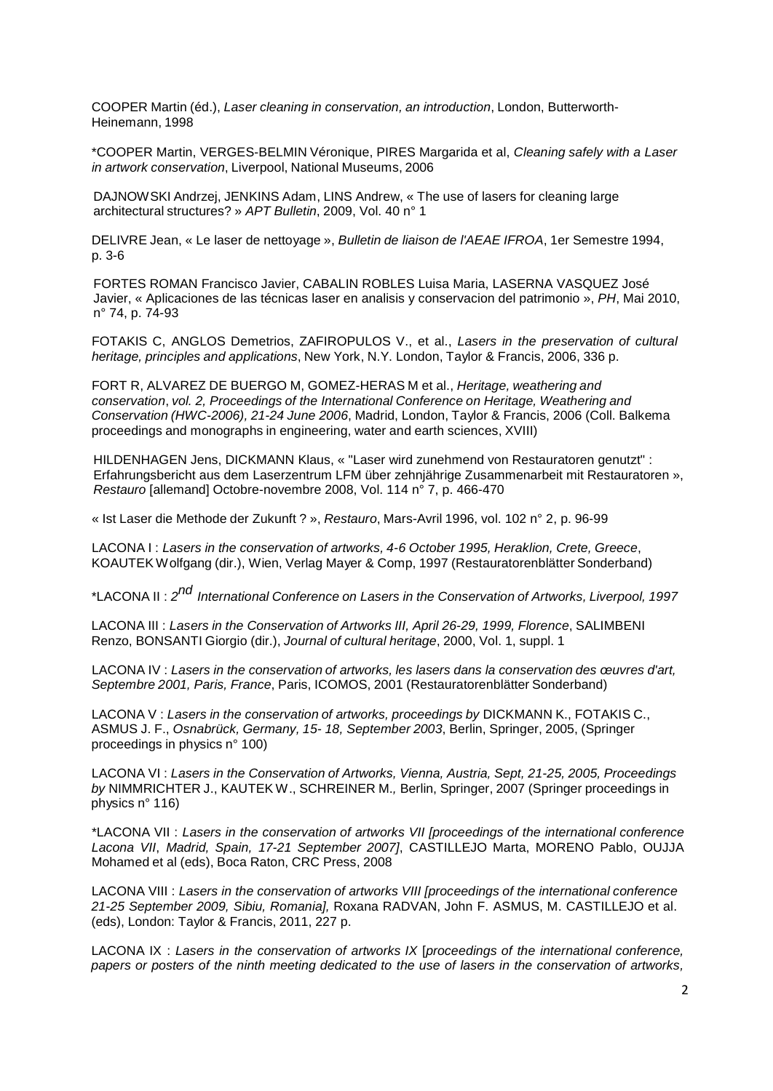COOPER Martin (éd.), *Laser cleaning in conservation, an introduction*, London, Butterworth-Heinemann, 1998

\*COOPER Martin, VERGES-BELMIN Véronique, PIRES Margarida et al, *Cleaning safely with a Laser in artwork conservation*, Liverpool, National Museums, 2006

DAJNOWSKI Andrzej, JENKINS Adam, LINS Andrew, « The use of lasers for cleaning large architectural structures? » *APT Bulletin*, 2009, Vol. 40 n° 1

DELIVRE Jean, « Le laser de nettoyage », *Bulletin de liaison de l'AEAE IFROA*, 1er Semestre 1994, p. 3-6

FORTES ROMAN Francisco Javier, CABALIN ROBLES Luisa Maria, LASERNA VASQUEZ José Javier, « Aplicaciones de las técnicas laser en analisis y conservacion del patrimonio », *PH*, Mai 2010, n° 74, p. 74-93

FOTAKIS C, ANGLOS Demetrios, ZAFIROPULOS V., et al., *Lasers in the preservation of cultural heritage, principles and applications*, New York, N.Y. London, Taylor & Francis, 2006, 336 p.

FORT R, ALVAREZ DE BUERGO M, GOMEZ-HERAS M et al., *Heritage, weathering and conservation*, *vol. 2, Proceedings of the International Conference on Heritage, Weathering and Conservation (HWC-2006), 21-24 June 2006*, Madrid, London, Taylor & Francis, 2006 (Coll. Balkema proceedings and monographs in engineering, water and earth sciences, XVIII)

[HILDENHAGEN](http://cadicintegrale.inp.fr/exl-php/cadcgp.php?MODELE=vues/bib_portail_-_recherche_simple/tpl-r.html&TABLE=bib_doc&NBREP=50&SETS=SET%20SHOW_MATCHES%20%27TRUE%27;set%20thesaurus_name%20%27exlibris.fth%27;set%20search_memory_size%2050000;&SET_1=set%20term_generator%20%27%27;&SET_2=set%20relevance_method%20%272:2%27;&SET_3=&SET_4=&SET_5=&SET_6=&SET_7=&SET_8=&SET_9=&RESTRICT_INIT=%28LCK_CLI%20NOT%20CONTAINS%20%27LOCKTAG%27%29%20and%20%28LCK_CLI%20not%20%20contains%20%27SUPPR%27%29%20%20and%20%28DOC_AFFICHE=1%29&CMD=CHERCHE&WHERE_DOC_AUTEUR_A=%22$a-Hildenhagen-$b-Jens%22) Jens, DICKMANN Klaus, « "Laser wird zunehmend von Restauratoren genutzt" : Erfahrungsbericht aus dem Laserzentrum LFM über zehnjährige Zusammenarbeit mit Restauratoren », *Restauro* [allemand] Octobre-novembre 2008, Vol. 114 n° 7, p. 466-470

« Ist Laser die Methode der Zukunft ? », *Restauro*, Mars-Avril 1996, vol. 102 n° 2, p. 96-99

LACONA I : *Lasers in the conservation of artworks, 4-6 October 1995, Heraklion, Crete, Greece*, KOAUTEK Wolfgang (dir.), Wien, Verlag Mayer & Comp, 1997 (Restauratorenblätter Sonderband)

\*LACONA II : *<sup>2</sup>nd International Conference on Lasers in the Conservation of Artworks, Liverpool, <sup>1997</sup>*

LACONA III : *Lasers in the Conservation of Artworks III, April 26-29, 1999, Florence*, SALIMBENI Renzo, BONSANTI Giorgio (dir.), *Journal of cultural heritage*, 2000, Vol. 1, suppl. 1

LACONA IV : *Lasers in the conservation of artworks, les lasers dans la conservation des œuvres d'art, Septembre 2001, Paris, France*, Paris, ICOMOS, 2001 (Restauratorenblätter Sonderband)

LACONA V : *Lasers in the conservation of artworks, proceedings by* DICKMANN K., FOTAKIS C., ASMUS J. F., *Osnabrück, Germany, 15- 18, September 2003*, Berlin, Springer, 2005, (Springer proceedings in physics n° 100)

LACONA VI : *Lasers in the Conservation of Artworks, Vienna, Austria, Sept, 21-25, 2005, Proceedings by* NIMMRICHTER J., KAUTEK W., SCHREINER M.*,* Berlin, Springer, 2007 (Springer proceedings in physics n° 116)

\*LACONA VII : *Lasers in the conservation of artworks VII [proceedings of the international conference Lacona VII*, *Madrid, Spain, 17-21 September 2007]*, CASTILLEJO Marta, MORENO Pablo, OUJJA Mohamed et al (eds), Boca Raton, CRC Press, 2008

LACONA VIII : *Lasers in the conservation of artworks VIII [proceedings of the international conference 21-25 September 2009, Sibiu, Romania],* Roxana RADVAN, John F. ASMUS, M. CASTILLEJO et al. (eds), London: Taylor & Francis, 2011, 227 p.

LACONA IX : *Lasers in the conservation of artworks IX* [*proceedings of the international conference, papers or posters of the ninth meeting dedicated to the use of lasers in the conservation of artworks,*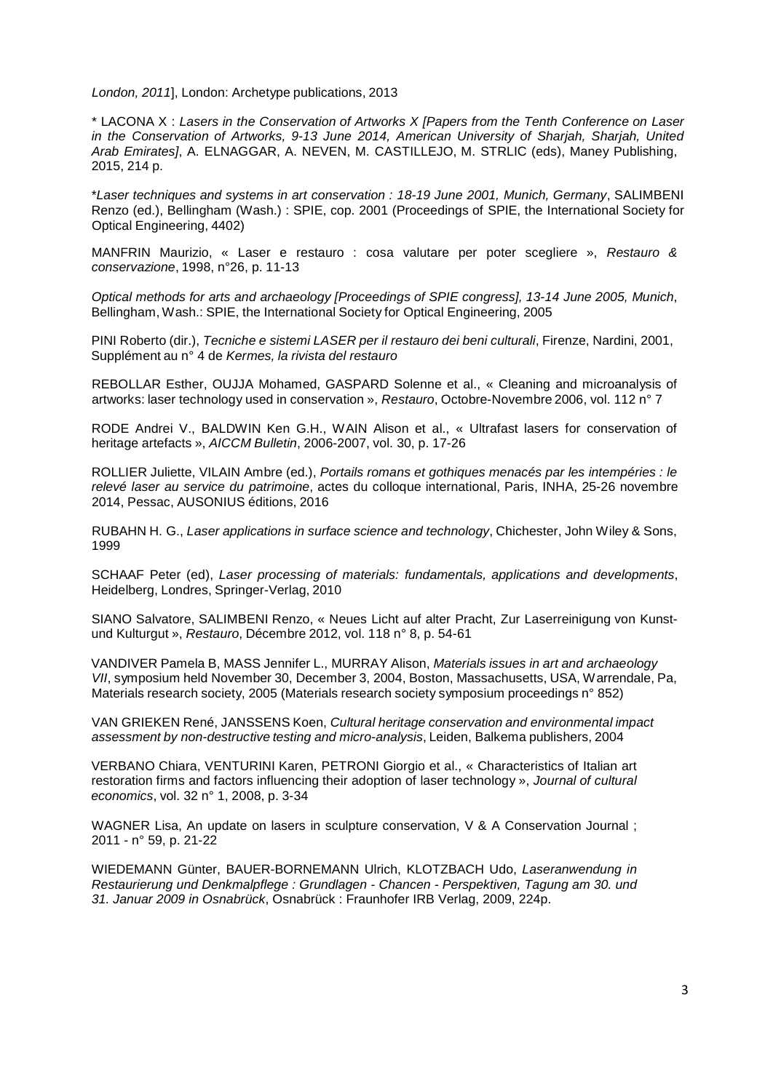*London, 2011*], London: Archetype publications, 2013

\* LACONA X : *Lasers in the Conservation of Artworks X [Papers from the Tenth Conference on Laser in the Conservation of Artworks, 9-13 June 2014, American University of Sharjah, Sharjah, United Arab Emirates]*, A. [ELNAGGAR,](https://www.google.fr/search?hl=fr&tbo=p&tbm=bks&q=inauthor%3A%22A.%2BElnaggar%22&source=gbs_metadata_r&cad=2) A. [NEVEN,](https://www.google.fr/search?hl=fr&tbo=p&tbm=bks&q=inauthor%3A%22A.%2BElnaggar%22&source=gbs_metadata_r&cad=2) M. [CASTILLEJO,](https://www.google.fr/search?hl=fr&tbo=p&tbm=bks&q=inauthor%3A%22M.%2BCastillejo%22&source=gbs_metadata_r&cad=2) M. [STRLIC](https://www.google.fr/search?hl=fr&tbo=p&tbm=bks&q=inauthor%3A%22M.%2BCastillejo%22&source=gbs_metadata_r&cad=2) (eds), Maney Publishing, 2015, 214 p.

\**Laser techniques and systems in art [conservation](http://www.sudoc.abes.fr/DB%3D2.1/SET%3D1/TTL%3D1/CLK?IKT=1016&TRM=Laser%2Btechniques%2Band%2Bsystems%2Bin%2Bart%2Bconservation) : 18-19 June 2001, Munich, Germany*, SALIMBENI Renzo (ed.), [Bellingham](http://www.sudoc.abes.fr/DB%3D2.1/SET%3D1/TTL%3D1/CLK?IKT=1018&TRM=Bellingham) [\(Wash.\)](http://www.sudoc.abes.fr/DB%3D2.1/SET%3D1/TTL%3D1/CLK?IKT=1018&TRM=Wash) : [SPIE,](http://www.sudoc.abes.fr/DB%3D2.1/SET%3D1/TTL%3D1/CLK?IKT=1018&TRM=SPIE) cop. 2001 [\(Proceedings](http://www.sudoc.abes.fr/DB%3D2.1/SET%3D1/TTL%3D1/CLK?IKT=12&TRM=03723613X) of SPIE, the International Society fo[r](http://www.sudoc.abes.fr/DB%3D2.1/SET%3D1/TTL%3D1/CLK?IKT=12&TRM=03723613X) Optical [Engineering,](http://www.sudoc.abes.fr/DB%3D2.1/SET%3D1/TTL%3D1/CLK?IKT=12&TRM=03723613X) 4402)

MANFRIN Maurizio, « Laser e restauro : cosa valutare per poter scegliere », *Restauro & conservazione*, 1998, n°26, p. 11-13

*Optical methods for arts and archaeology [Proceedings of SPIE congress], 13-14 June 2005, Munich*, Bellingham, Wash.: SPIE, the International Society for Optical Engineering, 2005

PINI Roberto (dir.), *Tecniche e sistemi LASER per il restauro dei beni culturali*, Firenze, Nardini, 2001, Supplément au n° 4 de *Kermes, la rivista del restauro*

REBOLLAR Esther, OUJJA Mohamed, GASPARD Solenne et al., « Cleaning and microanalysis of artworks: laser technology used in conservation », *Restauro*, Octobre-Novembre 2006, vol. 112 n° 7

RODE Andrei V., BALDWIN Ken G.H., WAIN Alison et al., « Ultrafast lasers for conservation of heritage artefacts », *AICCM Bulletin*, 2006-2007, vol. 30, p. 17-26

ROLLIER Juliette, VILAIN Ambre (ed.), *Portails romans et gothiques menacés par les intempéries : le relevé laser au service du patrimoine*, actes du colloque international, Paris, INHA, 25-26 novembre 2014, Pessac, AUSONIUS éditions, 2016

RUBAHN H. G., *Laser applications in surface science and technology*, Chichester, John Wiley & Sons, 1999

SCHAAF Peter (ed), *Laser processing of materials: fundamentals, applications and developments*, Heidelberg, Londres, Springer-Verlag, 2010

SIANO Salvatore, SALIMBENI Renzo, « Neues Licht auf alter Pracht, Zur Laserreinigung von Kunstund Kulturgut », *Restauro*, Décembre 2012, vol. 118 n° 8, p. 54-61

VANDIVER Pamela B, MASS Jennifer L., MURRAY Alison, *Materials issues in art and archaeology VII*, symposium held November 30, December 3, 2004, Boston, Massachusetts, USA, Warrendale, Pa, Materials research society, 2005 (Materials research society symposium proceedings n° 852)

VAN GRIEKEN René, JANSSENS Koen, *Cultural heritage conservation and environmental impact assessment by non-destructive testing and micro-analysis*, Leiden, Balkema publishers, 2004

VERBANO Chiara, VENTURINI Karen, PETRONI Giorgio et al., « Characteristics of Italian art restoration firms and factors influencing their adoption of laser technology », *Journal of cultural economics*, vol. 32 n° 1, 2008, p. 3-34

WAGNER Lisa, An update on lasers in sculpture conservation, V & A Conservation Journal ; 2011 - n° 59, p. 21-22

WIEDEMANN Günter, BAUER-BORNEMANN Ulrich, KLOTZBACH Udo, *Laseranwendung in Restaurierung und Denkmalpflege : Grundlagen - Chancen - Perspektiven, Tagung am 30. und 31. Januar 2009 in Osnabrück*, Osnabrück : Fraunhofer IRB Verlag, 2009, 224p.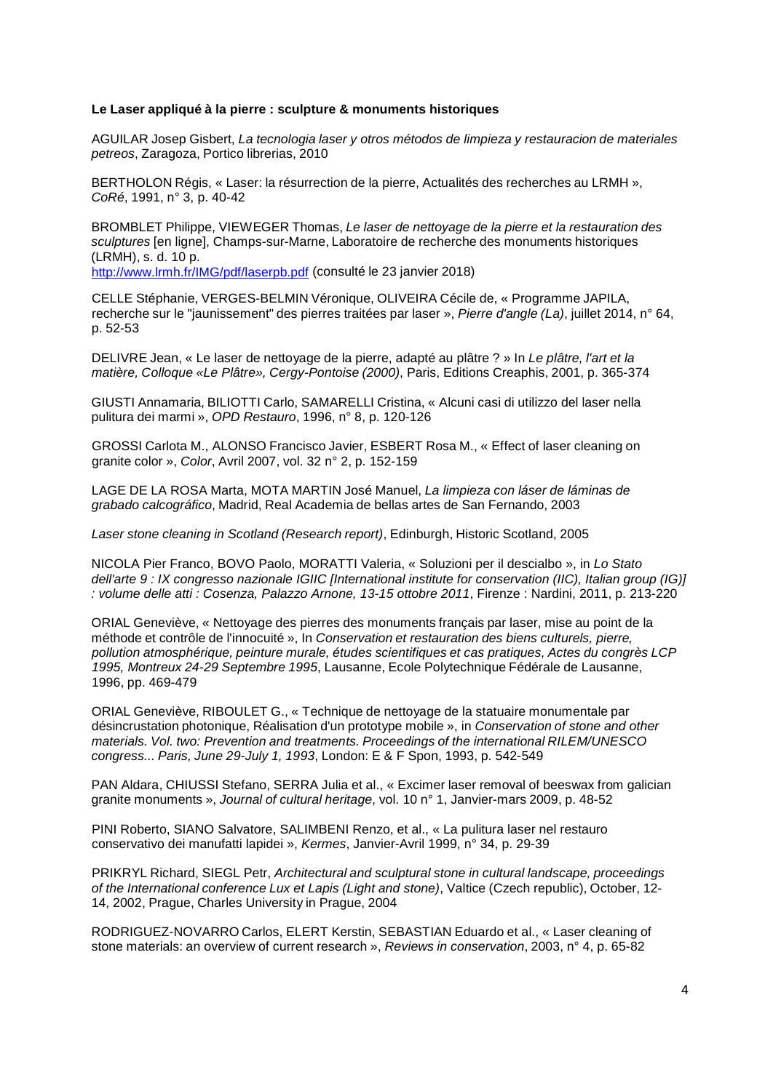# **Le Laser appliqué à la pierre : sculpture & monuments historiques**

AGUILAR Josep Gisbert, *La tecnologia laser y otros métodos de limpieza y restauracion de materiales petreos*, Zaragoza, Portico librerias, 2010

BERTHOLON Régis, « Laser: la résurrection de la pierre, Actualités des recherches au LRMH », *CoRé*, 1991, n° 3, p. 40-42

BROMBLET Philippe, VIEWEGER Thomas, *Le laser de nettoyage de la pierre et la restauration des sculptures* [en ligne], Champs-sur-Marne, Laboratoire de recherche des monuments historiques (LRMH), s. d. 10 p.

<http://www.lrmh.fr/IMG/pdf/laserpb.pdf> (consulté le 23 janvier 2018)

CELLE Stéphanie, VERGES-BELMIN Véronique, OLIVEIRA Cécile de, « Programme JAPILA, recherche sur le "jaunissement" des pierres traitées par laser », *Pierre d'angle (La)*, juillet 2014, n° 64, p. 52-53

DELIVRE Jean, « Le laser de nettoyage de la pierre, adapté au plâtre ? » In *Le plâtre, l'art et la matière, Colloque «Le Plâtre», Cergy-Pontoise (2000)*, Paris, Editions Creaphis, 2001, p. 365-374

GIUSTI Annamaria, BILIOTTI Carlo, SAMARELLI Cristina, « Alcuni casi di utilizzo del laser nella pulitura dei marmi », *OPD Restauro*, 1996, n° 8, p. 120-126

GROSSI Carlota M., ALONSO Francisco Javier, ESBERT Rosa M., « Effect of laser cleaning on granite color », *Color*, Avril 2007, vol. 32 n° 2, p. 152-159

LAGE DE LA ROSA Marta, MOTA MARTIN José Manuel, *La limpieza con láser de láminas de grabado calcográfico*, Madrid, Real Academia de bellas artes de San Fernando, 2003

*Laser stone cleaning in Scotland (Research report)*, Edinburgh, Historic Scotland, 2005

NICOLA Pier Franco, BOVO Paolo, MORATTI Valeria, « Soluzioni per il descialbo », in *Lo Stato dell'arte 9 : IX congresso nazionale IGIIC [International institute for conservation (IIC), Italian group (IG)] : volume delle atti : Cosenza, Palazzo Arnone, 13-15 ottobre 2011*, Firenze : Nardini, 2011, p. 213-220

ORIAL Geneviève, « Nettoyage des pierres des monuments français par laser, mise au point de la méthode et contrôle de l'innocuité », In *Conservation et restauration des biens culturels, pierre, pollution atmosphérique, peinture murale, études scientifiques et cas pratiques, Actes du congrès LCP 1995, Montreux 24-29 Septembre 1995*, Lausanne, Ecole Polytechnique Fédérale de Lausanne, 1996, pp. 469-479

ORIAL Geneviève, RIBOULET G., « Technique de nettoyage de la statuaire monumentale par désincrustation photonique, Réalisation d'un prototype mobile », in *Conservation of stone and other materials. Vol. two: Prevention and treatments. Proceedings of the international RILEM/UNESCO congress... Paris, June 29-July 1, 1993*, London: E & F Spon, 1993, p. 542-549

PAN Aldara, CHIUSSI Stefano, SERRA Julia et al., « Excimer laser removal of beeswax from galician granite monuments », *Journal of cultural heritage*, vol. 10 n° 1, Janvier-mars 2009, p. 48-52

PINI Roberto, SIANO Salvatore, SALIMBENI Renzo, et al., « La pulitura laser nel restauro conservativo dei manufatti lapidei », *Kermes*, Janvier-Avril 1999, n° 34, p. 29-39

PRIKRYL Richard, SIEGL Petr, *Architectural and sculptural stone in cultural landscape, proceedings of the International conference Lux et Lapis (Light and stone)*, Valtice (Czech republic), October, 12- 14, 2002, Prague, Charles University in Prague, 2004

RODRIGUEZ-NOVARRO Carlos, ELERT Kerstin, SEBASTIAN Eduardo et al., « Laser cleaning of stone materials: an overview of current research », *Reviews in conservation*, 2003, n° 4, p. 65-82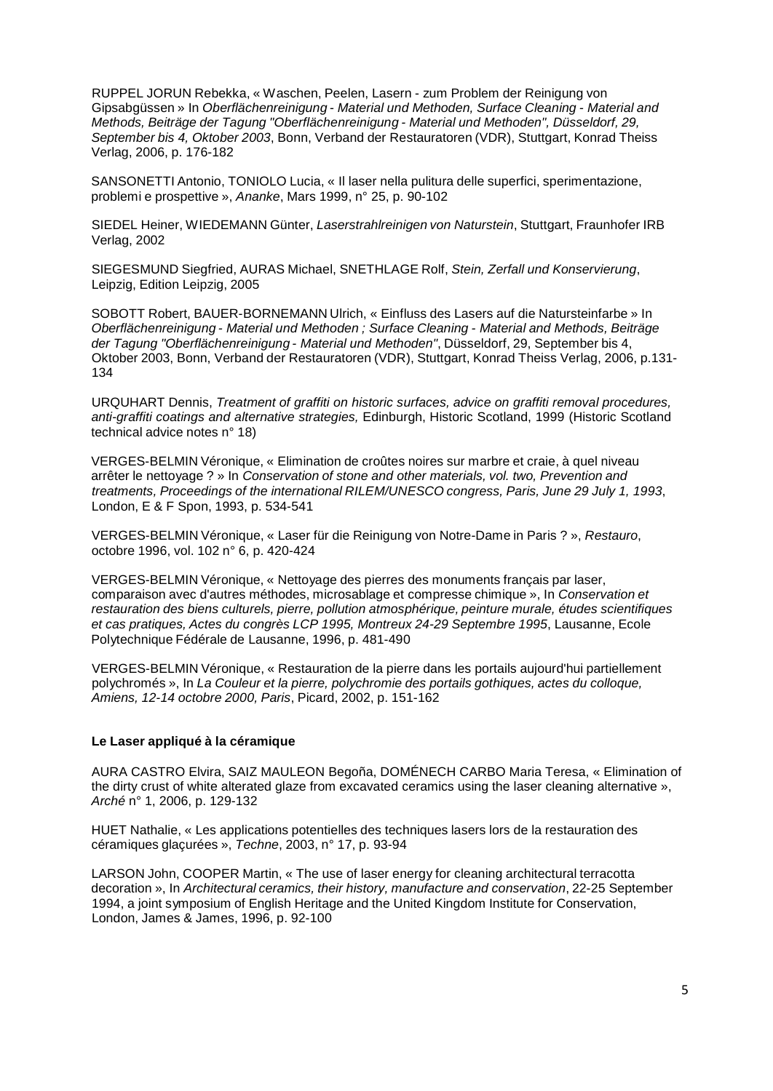RUPPEL JORUN Rebekka, « Waschen, Peelen, Lasern - zum Problem der Reinigung von Gipsabgüssen » In *Oberflächenreinigung - Material und Methoden, Surface Cleaning - Material and Methods, Beiträge der Tagung "Oberflächenreinigung - Material und Methoden", Düsseldorf, 29, September bis 4, Oktober 2003*, Bonn, Verband der Restauratoren (VDR), Stuttgart, Konrad Theiss Verlag, 2006, p. 176-182

SANSONETTI Antonio, TONIOLO Lucia, « Il laser nella pulitura delle superfici, sperimentazione, problemi e prospettive », *Ananke*, Mars 1999, n° 25, p. 90-102

SIEDEL Heiner, WIEDEMANN Günter, *Laserstrahlreinigen von Naturstein*, Stuttgart, Fraunhofer IRB Verlag, 2002

SIEGESMUND Siegfried, AURAS Michael, SNETHLAGE Rolf, *Stein, Zerfall und Konservierung*, Leipzig, Edition Leipzig, 2005

SOBOTT Robert, BAUER-BORNEMANN Ulrich, « Einfluss des Lasers auf die Natursteinfarbe » In *Oberflächenreinigung - Material und Methoden ; Surface Cleaning - Material and Methods, Beiträge der Tagung "Oberflächenreinigung - Material und Methoden"*, Düsseldorf, 29, September bis 4, Oktober 2003, Bonn, Verband der Restauratoren (VDR), Stuttgart, Konrad Theiss Verlag, 2006, p.131- 134

URQUHART Dennis, *Treatment of graffiti on historic surfaces, advice on graffiti removal procedures, anti-graffiti coatings and alternative strategies,* Edinburgh, Historic Scotland, 1999 (Historic Scotland technical advice notes n° 18)

VERGES-BELMIN Véronique, « Elimination de croûtes noires sur marbre et craie, à quel niveau arrêter le nettoyage ? » In *Conservation of stone and other materials, vol. two, Prevention and treatments, Proceedings of the international RILEM/UNESCO congress, Paris, June 29 July 1, 1993*, London, E & F Spon, 1993, p. 534-541

VERGES-BELMIN Véronique, « Laser für die Reinigung von Notre-Dame in Paris ? », *Restauro*, octobre 1996, vol. 102 n° 6, p. 420-424

VERGES-BELMIN Véronique, « Nettoyage des pierres des monuments français par laser, comparaison avec d'autres méthodes, microsablage et compresse chimique », In *Conservation et restauration des biens culturels, pierre, pollution atmosphérique, peinture murale, études scientifiques et cas pratiques, Actes du congrès LCP 1995, Montreux 24-29 Septembre 1995*, Lausanne, Ecole Polytechnique Fédérale de Lausanne, 1996, p. 481-490

VERGES-BELMIN Véronique, « Restauration de la pierre dans les portails aujourd'hui partiellement polychromés », In *La Couleur et la pierre, polychromie des portails gothiques, actes du colloque, Amiens, 12-14 octobre 2000, Paris*, Picard, 2002, p. 151-162

# **Le Laser appliqué à la céramique**

AURA CASTRO Elvira, SAIZ MAULEON Begoña, DOMÉNECH CARBO Maria Teresa, « Elimination of the dirty crust of white alterated glaze from excavated ceramics using the laser cleaning alternative », *Arché* n° 1, 2006, p. 129-132

HUET Nathalie, « Les applications potentielles des techniques lasers lors de la restauration des céramiques glaçurées », *Techne*, 2003, n° 17, p. 93-94

LARSON John, COOPER Martin, « The use of laser energy for cleaning architectural terracotta decoration », In *Architectural ceramics, their history, manufacture and conservation*, 22-25 September 1994, a joint symposium of English Heritage and the United Kingdom Institute for Conservation, London, James & James, 1996, p. 92-100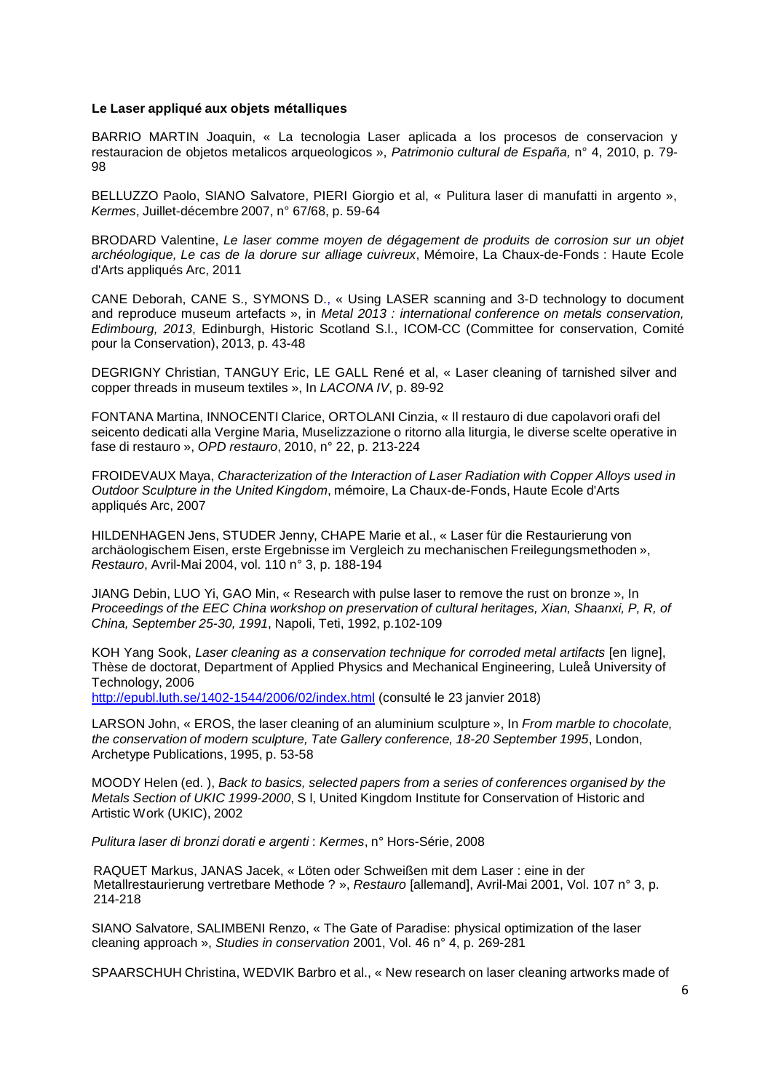#### **Le Laser appliqué aux objets métalliques**

BARRIO MARTIN Joaquin, « La tecnologia Laser aplicada a los procesos de conservacion y restauracion de objetos metalicos arqueologicos », *Patrimonio cultural de España,* n° 4, 2010, p. 79- 98

BELLUZZO Paolo, SIANO Salvatore, PIERI Giorgio et al, « Pulitura laser di manufatti in argento », *Kermes*, Juillet-décembre 2007, n° 67/68, p. 59-64

BRODARD Valentine, *Le laser comme moyen de dégagement de produits de corrosion sur un objet archéologique, Le cas de la dorure sur alliage cuivreux*, Mémoire, La Chaux-de-Fonds : Haute Ecole d'Arts appliqués Arc, 2011

CANE Deborah, CANE S., SYMONS D., « Using LASER scanning and 3-D technology to document and reproduce museum artefacts », in *Metal 2013 : international conference on metals conservation, Edimbourg, 2013*, Edinburgh, Historic Scotland S.l., ICOM-CC (Committee for conservation, Comité pour la Conservation), 2013, p. 43-48

DEGRIGNY Christian, TANGUY Eric, LE GALL René et al, « Laser cleaning of tarnished silver and copper threads in museum textiles », In *LACONA IV*, p. 89-92

FONTANA Martina, INNOCENTI Clarice, ORTOLANI Cinzia, « Il restauro di due capolavori orafi del seicento dedicati alla Vergine Maria, Muselizzazione o ritorno alla liturgia, le diverse scelte operative in fase di restauro », *OPD restauro*, 2010, n° 22, p. 213-224

FROIDEVAUX Maya, *Characterization of the Interaction of Laser Radiation with Copper Alloys used in Outdoor Sculpture in the United Kingdom*, mémoire, La Chaux-de-Fonds, Haute Ecole d'Arts appliqués Arc, 2007

HILDENHAGEN Jens, STUDER Jenny, CHAPE Marie et al., « Laser für die Restaurierung von archäologischem Eisen, erste Ergebnisse im Vergleich zu mechanischen Freilegungsmethoden », *Restauro*, Avril-Mai 2004, vol. 110 n° 3, p. 188-194

JIANG Debin, LUO Yi, GAO Min, « Research with pulse laser to remove the rust on bronze », In *Proceedings of the EEC China workshop on preservation of cultural heritages, Xian, Shaanxi, P, R, of China, September 25-30, 1991*, Napoli, Teti, 1992, p.102-109

KOH Yang Sook, *Laser cleaning as a conservation technique for corroded metal artifacts* [en ligne], Thèse de doctorat, Department of Applied Physics and Mechanical Engineering, Luleå University of Technology, 2006

<http://epubl.luth.se/1402-1544/2006/02/index.html> (consulté le 23 janvier 2018)

LARSON John, « EROS, the laser cleaning of an aluminium sculpture », In *From marble to chocolate, the conservation of modern sculpture, Tate Gallery conference, 18-20 September 1995*, London, Archetype Publications, 1995, p. 53-58

MOODY Helen (ed. ), *Back to basics, selected papers from a series of conferences organised by the Metals Section of UKIC 1999-2000*, S l, United Kingdom Institute for Conservation of Historic and Artistic Work (UKIC), 2002

*Pulitura laser di bronzi dorati e argenti* : *Kermes*, n° Hors-Série, 2008

RAQUET Markus, JANAS Jacek, « Löten oder Schweißen mit dem Laser : eine in der Metallrestaurierung vertretbare Methode ? », *Restauro* [allemand], Avril-Mai 2001, Vol. 107 n° 3, p. 214-218

SIANO Salvatore, SALIMBENI Renzo, « The Gate of Paradise: physical optimization of the laser cleaning approach », *Studies in conservation* 2001, Vol. 46 n° 4, p. 269-281

SPAARSCHUH Christina, WEDVIK Barbro et al., « New research on laser cleaning artworks made of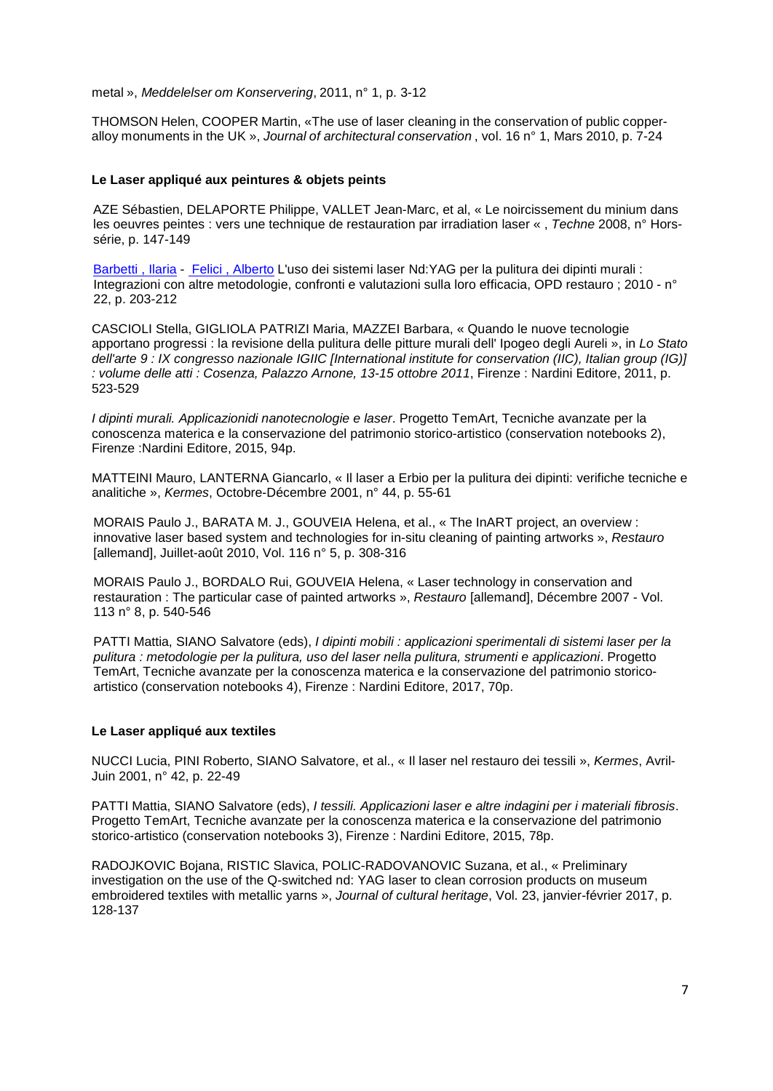metal », *Meddelelser om Konservering*, 2011, n° 1, p. 3-12

THOMSON Helen, COOPER Martin, «The use of laser cleaning in the conservation of public copperalloy monuments in the UK », *Journal of architectural conservation* , vol. 16 n° 1, Mars 2010, p. 7-24

# **Le Laser appliqué aux peintures & objets peints**

[AZE Sébastien,](http://cadicintegrale.inp.fr/exl-php/cadcgp.php?MODELE=vues/bib_portail_-_recherche_simple/tpl-r.html&TABLE=bib_doc&NBREP=50&SETS=SET%20SHOW_MATCHES%20%27TRUE%27;set%20thesaurus_name%20%27exlibris.fth%27;set%20search_memory_size%2050000;&SET_1=set%20term_generator%20%27%27;&SET_2=set%20relevance_method%20%272:2%27;&SET_3=&SET_4=&SET_5=&SET_6=&SET_7=&SET_8=&SET_9=&RESTRICT_INIT=%28LCK_CLI%20NOT%20CONTAINS%20%27LOCKTAG%27%29%20and%20%28LCK_CLI%20not%20%20contains%20%27SUPPR%27%29%20%20and%20%28DOC_AFFICHE=1%29&CMD=CHERCHE&WHERE_DOC_AUTEUR_A=%22$a-Aze-$b-S%E9bastien%22) [DELAPORTE Philippe,](http://cadicintegrale.inp.fr/exl-php/cadcgp.php?MODELE=vues/bib_portail_-_recherche_simple/tpl-r.html&TABLE=bib_doc&NBREP=50&SETS=SET%20SHOW_MATCHES%20%27TRUE%27;set%20thesaurus_name%20%27exlibris.fth%27;set%20search_memory_size%2050000;&SET_1=set%20term_generator%20%27%27;&SET_2=set%20relevance_method%20%272:2%27;&SET_3=&SET_4=&SET_5=&SET_6=&SET_7=&SET_8=&SET_9=&RESTRICT_INIT=%28LCK_CLI%20NOT%20CONTAINS%20%27LOCKTAG%27%29%20and%20%28LCK_CLI%20not%20%20contains%20%27SUPPR%27%29%20%20and%20%28DOC_AFFICHE=1%29&CMD=CHERCHE&WHERE_DOC_CAUTEUR=%22$a-Delaporte-$b-Philippe%22) [VALLET Jean-Marc,](http://cadicintegrale.inp.fr/exl-php/cadcgp.php?MODELE=vues/bib_portail_-_recherche_simple/tpl-r.html&TABLE=bib_doc&NBREP=50&SETS=SET%20SHOW_MATCHES%20%27TRUE%27;set%20thesaurus_name%20%27exlibris.fth%27;set%20search_memory_size%2050000;&SET_1=set%20term_generator%20%27%27;&SET_2=set%20relevance_method%20%272:2%27;&SET_3=&SET_4=&SET_5=&SET_6=&SET_7=&SET_8=&SET_9=&RESTRICT_INIT=%28LCK_CLI%20NOT%20CONTAINS%20%27LOCKTAG%27%29%20and%20%28LCK_CLI%20not%20%20contains%20%27SUPPR%27%29%20%20and%20%28DOC_AFFICHE=1%29&CMD=CHERCHE&WHERE_DOC_CAUTEUR=%22$a-Vallet-$b-Jean-Marc%22) et al, « Le noircissement du minium dans les oeuvres peintes : vers une technique de restauration par irradiation laser « , *Techne* 2008, n° Horssérie, p. 147-149

Barbetti, Ilaria - Felici, Alberto L'uso dei sistemi laser Nd:YAG per la pulitura dei dipinti murali : Integrazioni con altre metodologie, confronti e valutazioni sulla loro efficacia, OPD restauro ; 2010 - n° 22, p. 203-212

CASCIOLI Stella, GIGLIOLA PATRIZI Maria, MAZZEI Barbara, « Quando le nuove tecnologie apportano progressi : la revisione della pulitura delle pitture murali dell' Ipogeo degli Aureli », in *Lo Stato dell'arte 9 : IX congresso nazionale IGIIC [International institute for conservation (IIC), Italian group (IG)] : volume delle atti : Cosenza, Palazzo Arnone, 13-15 ottobre 2011*, Firenze : Nardini Editore, 2011, p. 523-529

*I dipinti murali. Applicazionidi nanotecnologie e laser*. Progetto TemArt, Tecniche avanzate per la conoscenza materica e la conservazione del patrimonio storico-artistico (conservation notebooks 2), Firenze :Nardini Editore, 2015, 94p.

MATTEINI Mauro, LANTERNA Giancarlo, « Il laser a Erbio per la pulitura dei dipinti: verifiche tecniche e analitiche », *Kermes*, Octobre-Décembre 2001, n° 44, p. 55-61

[MORAIS](http://cadicintegrale.inp.fr/exl-php/cadcgp.php?MODELE=vues/bib_portail_-_recherche_simple/tpl-r.html&TABLE=bib_doc&NBREP=50&SETS=SET%20SHOW_MATCHES%20%27TRUE%27;set%20thesaurus_name%20%27exlibris.fth%27;set%20search_memory_size%2050000;&SET_1=set%20term_generator%20%27%27;&SET_2=set%20relevance_method%20%272:2%27;&SET_3=&SET_4=&SET_5=&SET_6=&SET_7=&SET_8=&SET_9=&RESTRICT_INIT=%28LCK_CLI%20NOT%20CONTAINS%20%27LOCKTAG%27%29%20and%20%28LCK_CLI%20not%20%20contains%20%27SUPPR%27%29%20%20and%20%28DOC_AFFICHE=1%29&CMD=CHERCHE&WHERE_DOC_AUTEUR_A=%22$a-Morais-$b-Paulo-J.%22) Paulo J., [BARATA](http://cadicintegrale.inp.fr/exl-php/cadcgp.php?MODELE=vues/bib_portail_-_recherche_simple/tpl-r.html&TABLE=bib_doc&NBREP=50&SETS=SET%20SHOW_MATCHES%20%27TRUE%27;set%20thesaurus_name%20%27exlibris.fth%27;set%20search_memory_size%2050000;&SET_1=set%20term_generator%20%27%27;&SET_2=set%20relevance_method%20%272:2%27;&SET_3=&SET_4=&SET_5=&SET_6=&SET_7=&SET_8=&SET_9=&RESTRICT_INIT=%28LCK_CLI%20NOT%20CONTAINS%20%27LOCKTAG%27%29%20and%20%28LCK_CLI%20not%20%20contains%20%27SUPPR%27%29%20%20and%20%28DOC_AFFICHE=1%29&CMD=CHERCHE&WHERE_DOC_CAUTEUR=%22$a-Barata-$b-M.-J.%22) M. J., [GOUVEIA](http://cadicintegrale.inp.fr/exl-php/cadcgp.php?MODELE=vues/bib_portail_-_recherche_simple/tpl-r.html&TABLE=bib_doc&NBREP=50&SETS=SET%20SHOW_MATCHES%20%27TRUE%27;set%20thesaurus_name%20%27exlibris.fth%27;set%20search_memory_size%2050000;&SET_1=set%20term_generator%20%27%27;&SET_2=set%20relevance_method%20%272:2%27;&SET_3=&SET_4=&SET_5=&SET_6=&SET_7=&SET_8=&SET_9=&RESTRICT_INIT=%28LCK_CLI%20NOT%20CONTAINS%20%27LOCKTAG%27%29%20and%20%28LCK_CLI%20not%20%20contains%20%27SUPPR%27%29%20%20and%20%28DOC_AFFICHE=1%29&CMD=CHERCHE&WHERE_DOC_CAUTEUR=%22$a-Gouveia-$b-Helena%22) Helena, et al., « The InART project, an overview : innovative laser based system and technologies for in-situ cleaning of painting artworks », *Restauro* [allemand], Juillet-août 2010, Vol. 116 n° 5, p. 308-316

[MORAIS Paulo J.,](http://cadicintegrale.inp.fr/exl-php/cadcgp.php?MODELE=vues/bib_portail_-_recherche_simple/tpl-r.html&TABLE=bib_doc&NBREP=50&SETS=SET%20SHOW_MATCHES%20%27TRUE%27;set%20thesaurus_name%20%27exlibris.fth%27;set%20search_memory_size%2050000;&SET_1=set%20term_generator%20%27%27;&SET_2=set%20relevance_method%20%272:2%27;&SET_3=&SET_4=&SET_5=&SET_6=&SET_7=&SET_8=&SET_9=&RESTRICT_INIT=%28LCK_CLI%20NOT%20CONTAINS%20%27LOCKTAG%27%29%20and%20%28LCK_CLI%20not%20%20contains%20%27SUPPR%27%29%20%20and%20%28DOC_AFFICHE=1%29&CMD=CHERCHE&WHERE_DOC_AUTEUR_A=%22$a-Morais-$b-Paulo-J.%22) [BORDALO](http://cadicintegrale.inp.fr/exl-php/cadcgp.php?MODELE=vues/bib_portail_-_recherche_simple/tpl-r.html&TABLE=bib_doc&NBREP=50&SETS=SET%20SHOW_MATCHES%20%27TRUE%27;set%20thesaurus_name%20%27exlibris.fth%27;set%20search_memory_size%2050000;&SET_1=set%20term_generator%20%27%27;&SET_2=set%20relevance_method%20%272:2%27;&SET_3=&SET_4=&SET_5=&SET_6=&SET_7=&SET_8=&SET_9=&RESTRICT_INIT=%28LCK_CLI%20NOT%20CONTAINS%20%27LOCKTAG%27%29%20and%20%28LCK_CLI%20not%20%20contains%20%27SUPPR%27%29%20%20and%20%28DOC_AFFICHE=1%29&CMD=CHERCHE&WHERE_DOC_CAUTEUR=%22$a-Barata-$b-M.-J.%22) Rui, [GOUVEIA Helena,](http://cadicintegrale.inp.fr/exl-php/cadcgp.php?MODELE=vues/bib_portail_-_recherche_simple/tpl-r.html&TABLE=bib_doc&NBREP=50&SETS=SET%20SHOW_MATCHES%20%27TRUE%27;set%20thesaurus_name%20%27exlibris.fth%27;set%20search_memory_size%2050000;&SET_1=set%20term_generator%20%27%27;&SET_2=set%20relevance_method%20%272:2%27;&SET_3=&SET_4=&SET_5=&SET_6=&SET_7=&SET_8=&SET_9=&RESTRICT_INIT=%28LCK_CLI%20NOT%20CONTAINS%20%27LOCKTAG%27%29%20and%20%28LCK_CLI%20not%20%20contains%20%27SUPPR%27%29%20%20and%20%28DOC_AFFICHE=1%29&CMD=CHERCHE&WHERE_DOC_CAUTEUR=%22$a-Gouveia-$b-Helena%22) « Laser technology in conservation and restauration : The particular case of painted artworks », *Restauro* [allemand], Décembre 2007 - Vol. 113 n° 8, p. 540-546

PATTI Mattia, SIANO Salvatore (eds), *I dipinti mobili : applicazioni sperimentali di sistemi laser per la pulitura : metodologie per la pulitura, uso del laser nella pulitura, strumenti e applicazioni*. Progetto TemArt, Tecniche avanzate per la conoscenza materica e la conservazione del patrimonio storicoartistico (conservation notebooks 4), Firenze : Nardini Editore, 2017, 70p.

# **Le Laser appliqué aux textiles**

NUCCI Lucia, PINI Roberto, SIANO Salvatore, et al., « Il laser nel restauro dei tessili », *Kermes*, Avril-Juin 2001, n° 42, p. 22-49

PATTI Mattia, SIANO Salvatore (eds), *I tessili. Applicazioni laser e altre indagini per i materiali fibrosis*. Progetto TemArt, Tecniche avanzate per la conoscenza materica e la conservazione del patrimonio storico-artistico (conservation notebooks 3), Firenze : Nardini Editore, 2015, 78p.

RADOJKOVIC Bojana, RISTIC Slavica, POLIC-RADOVANOVIC Suzana, et al., « Preliminary investigation on the use of the Q-switched nd: YAG laser to clean corrosion products on museum embroidered textiles with metallic yarns », *Journal of cultural heritage*, Vol. 23, janvier-février 2017, p. 128-137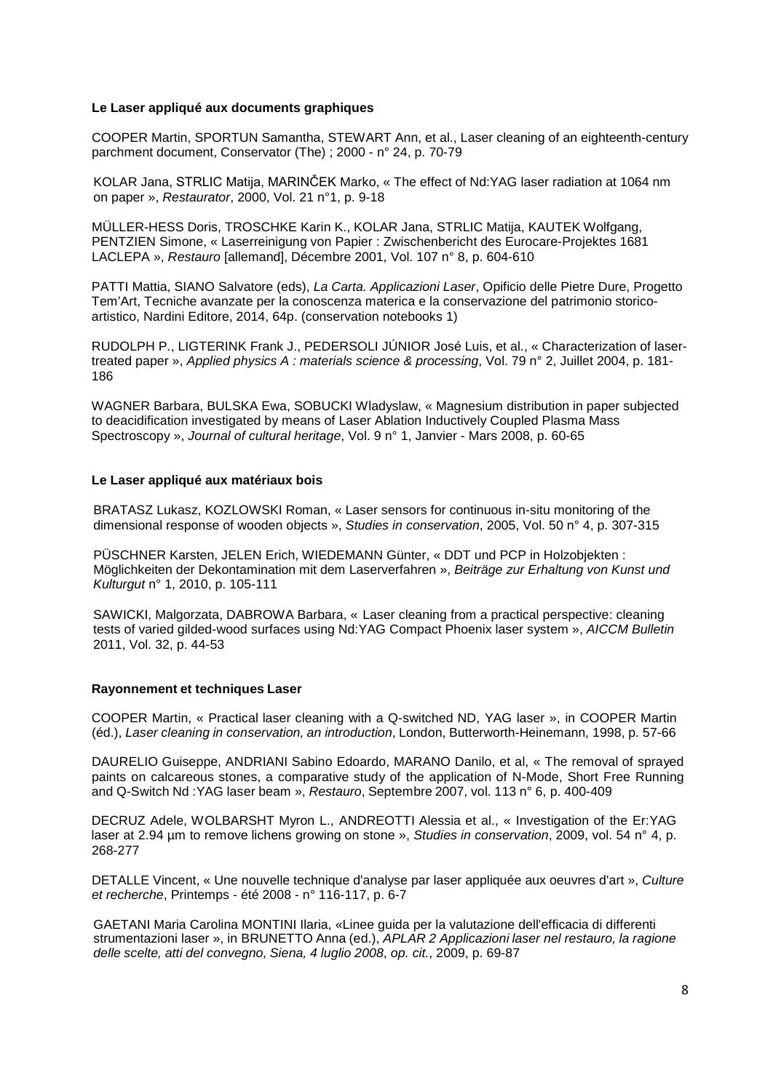### **Le Laser appliqué aux documents graphiques**

COOPER Martin, SPORTUN Samantha, STEWART Ann, et al., Laser cleaning of an eighteenth-century parchment document, Conservator (The) ; 2000 - n° 24, p. 70-79

[KOLAR](http://cadicintegrale.inp.fr/exl-php/cadcgp.php?MODELE=vues/bib_portail_-_recherche_simple/tpl-r.html&TABLE=bib_doc&NBREP=50&SETS=SET%20SHOW_MATCHES%20%27TRUE%27;set%20thesaurus_name%20%27exlibris.fth%27;set%20search_memory_size%2050000;&SET_1=set%20term_generator%20%27%27;&SET_2=set%20relevance_method%20%272:2%27;&SET_3=&SET_4=&SET_5=&SET_6=&SET_7=&SET_8=&SET_9=&RESTRICT_INIT=%28LCK_CLI%20NOT%20CONTAINS%20%27LOCKTAG%27%29%20and%20%28LCK_CLI%20not%20%20contains%20%27SUPPR%27%29%20%20and%20%28DOC_AFFICHE=1%29&CMD=CHERCHE&WHERE_DOC_AUTEUR_A=%22$a-Kolar-$b-Jana%22) Jana, STRLIC Matija, MARINČEK Marko, « The effect of Nd:YAG laser radiation at 1064 nm on paper », *Restaurator*, 2000, Vol. 21 n°1, p. 9-18

MÜLLER-HESS Doris, TROSCHKE Karin K., [KOLAR Jana,](http://cadicintegrale.inp.fr/exl-php/cadcgp.php?MODELE=vues/bib_portail_-_recherche_simple/tpl-r.html&TABLE=bib_doc&NBREP=50&SETS=SET%20SHOW_MATCHES%20%27TRUE%27;set%20thesaurus_name%20%27exlibris.fth%27;set%20search_memory_size%2050000;&SET_1=set%20term_generator%20%27%27;&SET_2=set%20relevance_method%20%272:2%27;&SET_3=&SET_4=&SET_5=&SET_6=&SET_7=&SET_8=&SET_9=&RESTRICT_INIT=%28LCK_CLI%20NOT%20CONTAINS%20%27LOCKTAG%27%29%20and%20%28LCK_CLI%20not%20%20contains%20%27SUPPR%27%29%20%20and%20%28DOC_AFFICHE=1%29&CMD=CHERCHE&WHERE_DOC_AUTEUR_A=%22$a-Kolar-$b-Jana%22) STRLIC Matija, KAUTEK Wolfgang, PENTZIEN Simone, « Laserreinigung von Papier : Zwischenbericht des Eurocare-Projektes 1681 LACLEPA », *Restauro* [allemand], Décembre 2001, Vol. 107 n° 8, p. 604-610

PATTI Mattia, SIANO Salvatore (eds), *La Carta. Applicazioni Laser*, Opificio delle Pietre Dure, Progetto Tem'Art, Tecniche avanzate per la conoscenza materica e la conservazione del patrimonio storicoartistico, Nardini Editore, 2014, 64p. (conservation notebooks 1)

RUDOLPH P., LIGTERINK Frank J., PEDERSOLI JÚNIOR José Luis, et al., « Characterization of lasertreated paper », *Applied physics A : materials science & processing*, Vol. 79 n° 2, Juillet 2004, p. 181- 186

WAGNER Barbara, BULSKA Ewa, SOBUCKI Wladyslaw, « Magnesium distribution in paper subjected to deacidification investigated by means of Laser Ablation Inductively Coupled Plasma Mass Spectroscopy », *Journal of cultural heritage*, Vol. 9 n° 1, Janvier - Mars 2008, p. 60-65

#### **Le Laser appliqué aux matériaux bois**

[BRATASZ](http://cadicintegrale.inp.fr/exl-php/cadcgp.php?MODELE=vues/bib_portail_-_recherche_simple/tpl-r.html&TABLE=bib_doc&NBREP=50&SETS=SET%20SHOW_MATCHES%20%27TRUE%27;set%20thesaurus_name%20%27exlibris.fth%27;set%20search_memory_size%2050000;&SET_1=set%20term_generator%20%27%27;&SET_2=set%20relevance_method%20%272:2%27;&SET_3=&SET_4=&SET_5=&SET_6=&SET_7=&SET_8=&SET_9=&RESTRICT_INIT=%28LCK_CLI%20NOT%20CONTAINS%20%27LOCKTAG%27%29%20and%20%28LCK_CLI%20not%20%20contains%20%27SUPPR%27%29%20%20and%20%28DOC_AFFICHE=1%29&CMD=CHERCHE&WHERE_DOC_AUTEUR_A=%22$a-Bratasz-$b-Lukasz%22) Lukasz, [KOZLOWSKI](http://cadicintegrale.inp.fr/exl-php/cadcgp.php?MODELE=vues/bib_portail_-_recherche_simple/tpl-r.html&TABLE=bib_doc&NBREP=50&SETS=SET%20SHOW_MATCHES%20%27TRUE%27;set%20thesaurus_name%20%27exlibris.fth%27;set%20search_memory_size%2050000;&SET_1=set%20term_generator%20%27%27;&SET_2=set%20relevance_method%20%272:2%27;&SET_3=&SET_4=&SET_5=&SET_6=&SET_7=&SET_8=&SET_9=&RESTRICT_INIT=%28LCK_CLI%20NOT%20CONTAINS%20%27LOCKTAG%27%29%20and%20%28LCK_CLI%20not%20%20contains%20%27SUPPR%27%29%20%20and%20%28DOC_AFFICHE=1%29&CMD=CHERCHE&WHERE_DOC_CAUTEUR=%22$a-Kozlowski-$b-Roman%22) Roman, « Laser sensors for continuous in-situ monitoring of the dimensional response of wooden objects », *Studies in conservation*, 2005, Vol. 50 n° 4, p. 307-315

[PÜSCHNER](http://cadicintegrale.inp.fr/exl-php/cadcgp.php?MODELE=vues/bib_portail_-_recherche_simple/tpl-r.html&TABLE=bib_doc&NBREP=50&SETS=SET%20SHOW_MATCHES%20%27TRUE%27;set%20thesaurus_name%20%27exlibris.fth%27;set%20search_memory_size%2050000;&SET_1=set%20term_generator%20%27%27;&SET_2=set%20relevance_method%20%272:2%27;&SET_3=&SET_4=&SET_5=&SET_6=&SET_7=&SET_8=&SET_9=&RESTRICT_INIT=%28LCK_CLI%20NOT%20CONTAINS%20%27LOCKTAG%27%29%20and%20%28LCK_CLI%20not%20%20contains%20%27SUPPR%27%29%20%20and%20%28DOC_AFFICHE=1%29&CMD=CHERCHE&WHERE_DOC_AUTEUR_A=%22$a-P%C3%BCschner-$b-Karsten%22) Karsten, [JELEN](http://cadicintegrale.inp.fr/exl-php/cadcgp.php?MODELE=vues/bib_portail_-_recherche_simple/tpl-r.html&TABLE=bib_doc&NBREP=50&SETS=SET%20SHOW_MATCHES%20%27TRUE%27;set%20thesaurus_name%20%27exlibris.fth%27;set%20search_memory_size%2050000;&SET_1=set%20term_generator%20%27%27;&SET_2=set%20relevance_method%20%272:2%27;&SET_3=&SET_4=&SET_5=&SET_6=&SET_7=&SET_8=&SET_9=&RESTRICT_INIT=%28LCK_CLI%20NOT%20CONTAINS%20%27LOCKTAG%27%29%20and%20%28LCK_CLI%20not%20%20contains%20%27SUPPR%27%29%20%20and%20%28DOC_AFFICHE=1%29&CMD=CHERCHE&WHERE_DOC_CAUTEUR=%22$a-Jelen-$b-Erich%22) Erich, [WIEDEMANN](http://cadicintegrale.inp.fr/exl-php/cadcgp.php?MODELE=vues/bib_portail_-_recherche_simple/tpl-r.html&TABLE=bib_doc&NBREP=50&SETS=SET%20SHOW_MATCHES%20%27TRUE%27;set%20thesaurus_name%20%27exlibris.fth%27;set%20search_memory_size%2050000;&SET_1=set%20term_generator%20%27%27;&SET_2=set%20relevance_method%20%272:2%27;&SET_3=&SET_4=&SET_5=&SET_6=&SET_7=&SET_8=&SET_9=&RESTRICT_INIT=%28LCK_CLI%20NOT%20CONTAINS%20%27LOCKTAG%27%29%20and%20%28LCK_CLI%20not%20%20contains%20%27SUPPR%27%29%20%20and%20%28DOC_AFFICHE=1%29&CMD=CHERCHE&WHERE_DOC_CAUTEUR=%22$a-Wiedemann-$b-G%C3%BCnter%22) Günter, « DDT und PCP in Holzobjekten : Möglichkeiten der Dekontamination mit dem Laserverfahren », *Beiträge zur Erhaltung von Kunst und Kulturgut* n° 1, 2010, p. 105-111

SAWICKI, Malgorzata, DABROWA Barbara, « Laser cleaning from a practical perspective: cleaning tests of varied gilded-wood surfaces using Nd:YAG Compact Phoenix laser system », *AICCM Bulletin* 2011, Vol. 32, p. 44-53

#### **Rayonnement et techniques Laser**

COOPER Martin, « Practical laser cleaning with a Q-switched ND, YAG laser », in COOPER Martin (éd.), *Laser cleaning in conservation, an introduction*, London, Butterworth-Heinemann, 1998, p. 57-66

DAURELIO Guiseppe, ANDRIANI Sabino Edoardo, MARANO Danilo, et al, « The removal of sprayed paints on calcareous stones, a comparative study of the application of N-Mode, Short Free Running and Q-Switch Nd :YAG laser beam », *Restauro*, Septembre 2007, vol. 113 n° 6, p. 400-409

DECRUZ Adele, WOLBARSHT Myron L., ANDREOTTI Alessia et al., « Investigation of the Er:YAG laser at 2.94 µm to remove lichens growing on stone », *Studies in conservation*, 2009, vol. 54 n° 4, p. 268-277

DETALLE Vincent, « Une nouvelle technique d'analyse par laser appliquée aux oeuvres d'art », *Culture et recherche*, Printemps - été 2008 - n° 116-117, p. 6-7

GAETANI Maria Carolina MONTINI Ilaria, «Linee guida per la valutazione dell'efficacia di differenti strumentazioni laser », in BRUNETTO Anna (ed.), *APLAR 2 Applicazioni laser nel restauro, la ragione delle scelte, atti del convegno, Siena, 4 luglio 2008*, *op. cit.*, 2009, p. 69-87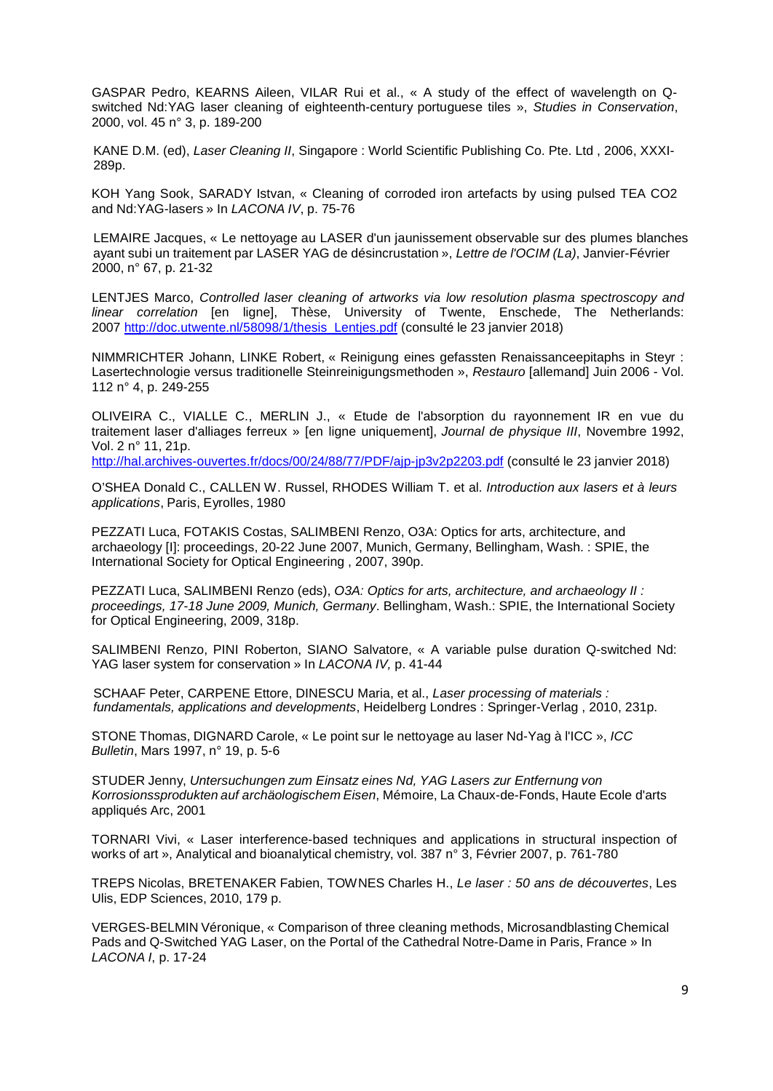GASPAR Pedro, KEARNS Aileen, VILAR Rui et al., « A study of the effect of wavelength on Qswitched Nd:YAG laser cleaning of eighteenth-century portuguese tiles », *Studies in Conservation*, 2000, vol. 45 n° 3, p. 189-200

KANE D.M. (ed), *Laser Cleaning II*, Singapore : World Scientific Publishing Co. Pte. Ltd , 2006, XXXI-289p.

KOH Yang Sook, SARADY Istvan, « Cleaning of corroded iron artefacts by using pulsed TEA CO2 and Nd:YAG-lasers » In *LACONA IV*, p. 75-76

LEMAIRE Jacques, « Le nettoyage au LASER d'un jaunissement observable sur des plumes blanches ayant subi un traitement par LASER YAG de désincrustation », *Lettre de l'OCIM (La)*, Janvier-Février 2000, n° 67, p. 21-32

LENTJES Marco, *Controlled laser cleaning of artworks via low resolution plasma spectroscopy and linear correlation* [en ligne], Thèse, University of Twente, Enschede, The Netherlands: 2007 [http://doc.utwente.nl/58098/1/thesis\\_Lentjes.pdf](http://doc.utwente.nl/58098/1/thesis_Lentjes.pdf) (consulté le 23 janvier 2018)

[NIMMRICHTER](http://cadicintegrale.inp.fr/exl-php/cadcgp.php?MODELE=vues/bib_portail_-_recherche_simple/tpl-r.html&TABLE=bib_doc&NBREP=50&SETS=SET%20SHOW_MATCHES%20%27TRUE%27;set%20thesaurus_name%20%27exlibris.fth%27;set%20search_memory_size%2050000;&SET_1=set%20term_generator%20%27%27;&SET_2=set%20relevance_method%20%272:2%27;&SET_3=&SET_4=&SET_5=&SET_6=&SET_7=&SET_8=&SET_9=&RESTRICT_INIT=%28LCK_CLI%20NOT%20CONTAINS%20%27LOCKTAG%27%29%20and%20%28LCK_CLI%20not%20%20contains%20%27SUPPR%27%29%20%20and%20%28DOC_AFFICHE=1%29&CMD=CHERCHE&WHERE_DOC_AUTEUR_A=%22$a-Nimmrichter-$b-Johann%22) Johann, LINKE [Robert,](http://cadicintegrale.inp.fr/exl-php/cadcgp.php?MODELE=vues/bib_portail_-_recherche_simple/tpl-r.html&TABLE=bib_doc&NBREP=50&SETS=SET%20SHOW_MATCHES%20%27TRUE%27;set%20thesaurus_name%20%27exlibris.fth%27;set%20search_memory_size%2050000;&SET_1=set%20term_generator%20%27%27;&SET_2=set%20relevance_method%20%272:2%27;&SET_3=&SET_4=&SET_5=&SET_6=&SET_7=&SET_8=&SET_9=&RESTRICT_INIT=%28LCK_CLI%20NOT%20CONTAINS%20%27LOCKTAG%27%29%20and%20%28LCK_CLI%20not%20%20contains%20%27SUPPR%27%29%20%20and%20%28DOC_AFFICHE=1%29&CMD=CHERCHE&WHERE_DOC_CAUTEUR=%22$a-Linke-$b-Robert%22) « Reinigung eines gefassten Renaissanceepitaphs in Steyr : Lasertechnologie versus traditionelle Steinreinigungsmethoden », *Restauro* [allemand] Juin 2006 - Vol. 112 n° 4, p. 249-255

OLIVEIRA C., VIALLE C., MERLIN J., « Etude de l'absorption du rayonnement IR en vue du traitement laser d'alliages ferreux » [en ligne uniquement], *Journal de physique III*, Novembre 1992, Vol. 2 n° 11, 21p.

<http://hal.archives-ouvertes.fr/docs/00/24/88/77/PDF/ajp-jp3v2p2203.pdf> (consulté le 23 janvier 2018)

O'SHEA Donald C., CALLEN W. Russel, RHODES William T. et al. *Introduction aux lasers et à leurs applications*, Paris, Eyrolles, 1980

PEZZATI Luca, FOTAKIS Costas, SALIMBENI Renzo, O3A: Optics for arts, architecture, and archaeology [I]: proceedings, 20-22 June 2007, Munich, Germany, Bellingham, Wash. : SPIE, the International Society for Optical Engineering , 2007, 390p.

PEZZATI Luca, SALIMBENI Renzo (eds), *O3A: Optics for arts, architecture, and archaeology II : proceedings, 17-18 June 2009, Munich, Germany*. Bellingham, Wash.: SPIE, the International Society for Optical Engineering, 2009, 318p.

SALIMBENI Renzo, PINI Roberton, SIANO Salvatore, « A variable pulse duration Q-switched Nd: YAG laser system for conservation » In *LACONA IV,* p. 41-44

SCHAAF Peter, CARPENE Ettore, DINESCU Maria, et al., *Laser processing of materials : fundamentals, applications and developments*, Heidelberg Londres : Springer-Verlag , 2010, 231p.

STONE Thomas, DIGNARD Carole, « Le point sur le nettoyage au laser Nd-Yag à l'ICC », *ICC Bulletin*, Mars 1997, n° 19, p. 5-6

STUDER Jenny, *Untersuchungen zum Einsatz eines Nd, YAG Lasers zur Entfernung von Korrosionssprodukten auf archäologischem Eisen*, Mémoire, La Chaux-de-Fonds, Haute Ecole d'arts appliqués Arc, 2001

TORNARI Vivi, « Laser interference-based techniques and applications in structural inspection of works of art », Analytical and bioanalytical chemistry, vol. 387 n° 3, Février 2007, p. 761-780

TREPS Nicolas, BRETENAKER Fabien, TOWNES Charles H., *Le laser : 50 ans de découvertes*, Les Ulis, EDP Sciences, 2010, 179 p.

VERGES-BELMIN Véronique, « Comparison of three cleaning methods, Microsandblasting Chemical Pads and Q-Switched YAG Laser, on the Portal of the Cathedral Notre-Dame in Paris, France » In *LACONA I*, p. 17-24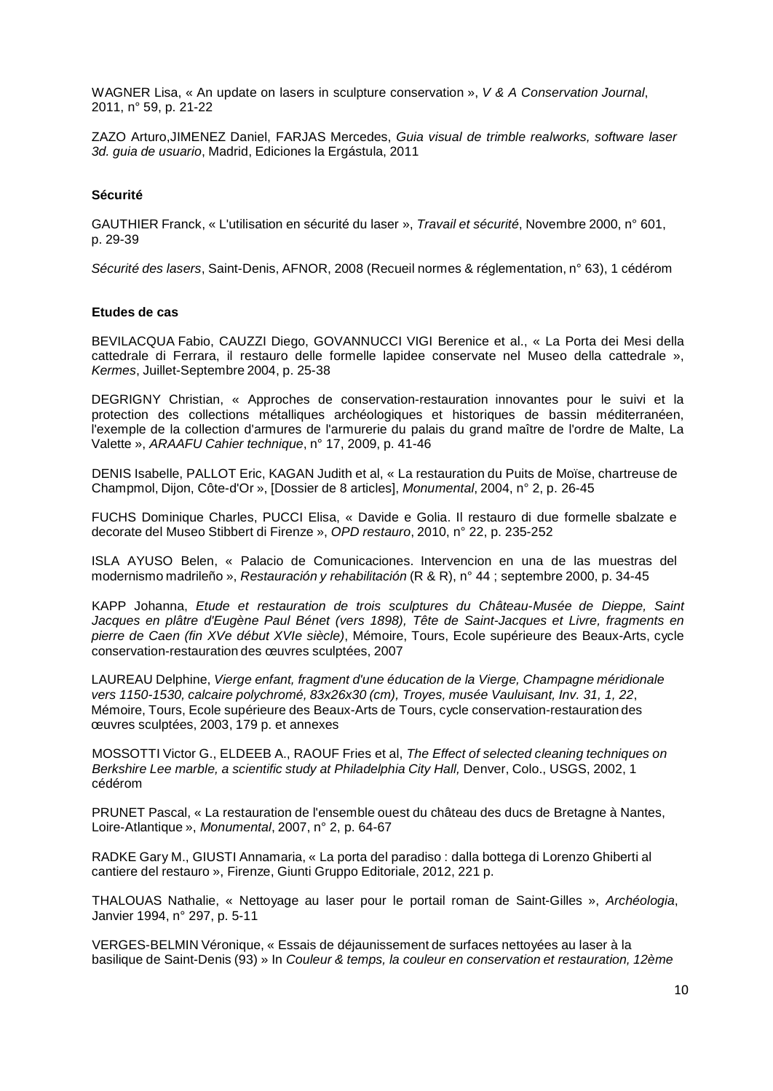WAGNER Lisa, « An update on lasers in sculpture conservation », *V & A Conservation Journal*, 2011, n° 59, p. 21-22

ZAZO Arturo,JIMENEZ Daniel, FARJAS Mercedes, *Guia visual de trimble realworks, software laser 3d. guia de usuario*, Madrid, Ediciones la Ergástula, 2011

### **Sécurité**

GAUTHIER Franck, « L'utilisation en sécurité du laser », *Travail et sécurité*, Novembre 2000, n° 601, p. 29-39

*Sécurité des lasers*, Saint-Denis, AFNOR, 2008 (Recueil normes & réglementation, n° 63), 1 cédérom

#### **Etudes de cas**

BEVILACQUA Fabio, CAUZZI Diego, GOVANNUCCI VIGI Berenice et al., « La Porta dei Mesi della cattedrale di Ferrara, il restauro delle formelle lapidee conservate nel Museo della cattedrale », *Kermes*, Juillet-Septembre 2004, p. 25-38

DEGRIGNY Christian, « Approches de conservation-restauration innovantes pour le suivi et la protection des collections métalliques archéologiques et historiques de bassin méditerranéen, l'exemple de la collection d'armures de l'armurerie du palais du grand maître de l'ordre de Malte, La Valette », *ARAAFU Cahier technique*, n° 17, 2009, p. 41-46

DENIS Isabelle, PALLOT Eric, KAGAN Judith et al, « La restauration du Puits de Moïse, chartreuse de Champmol, Dijon, Côte-d'Or », [Dossier de 8 articles], *Monumental*, 2004, n° 2, p. 26-45

FUCHS Dominique Charles, PUCCI Elisa, « Davide e Golia. Il restauro di due formelle sbalzate e decorate del Museo Stibbert di Firenze », *OPD restauro*, 2010, n° 22, p. 235-252

ISLA AYUSO Belen, « Palacio de Comunicaciones. Intervencion en una de las muestras del modernismo madrileño », *Restauración y rehabilitación* (R & R), n° 44 ; septembre 2000, p. 34-45

KAPP Johanna, *Etude et restauration de trois sculptures du Château-Musée de Dieppe, Saint Jacques en plâtre d'Eugène Paul Bénet (vers 1898), Tête de Saint-Jacques et Livre, fragments en pierre de Caen (fin XVe début XVIe siècle)*, Mémoire, Tours, Ecole supérieure des Beaux-Arts, cycle conservation-restauration des œuvres sculptées, 2007

LAUREAU Delphine, *Vierge enfant, fragment d'une éducation de la Vierge, Champagne méridionale vers 1150-1530, calcaire polychromé, 83x26x30 (cm), Troyes, musée Vauluisant, Inv. 31, 1, 22*, Mémoire, Tours, Ecole supérieure des Beaux-Arts de Tours, cycle conservation-restauration des œuvres sculptées, 2003, 179 p. et annexes

MOSSOTTI Victor G., ELDEEB A., RAOUF Fries et al, *The Effect of selected cleaning techniques on Berkshire Lee marble, a scientific study at Philadelphia City Hall,* Denver, Colo., USGS, 2002, 1 cédérom

PRUNET Pascal, « La restauration de l'ensemble ouest du château des ducs de Bretagne à Nantes, Loire-Atlantique », *Monumental*, 2007, n° 2, p. 64-67

RADKE Gary M., GIUSTI Annamaria, « La porta del paradiso : dalla bottega di Lorenzo Ghiberti al cantiere del restauro », Firenze, Giunti Gruppo Editoriale, 2012, 221 p.

THALOUAS Nathalie, « Nettoyage au laser pour le portail roman de Saint-Gilles », *Archéologia*, Janvier 1994, n° 297, p. 5-11

VERGES-BELMIN Véronique, « Essais de déjaunissement de surfaces nettoyées au laser à la basilique de Saint-Denis (93) » In *Couleur & temps, la couleur en conservation et restauration, 12ème*